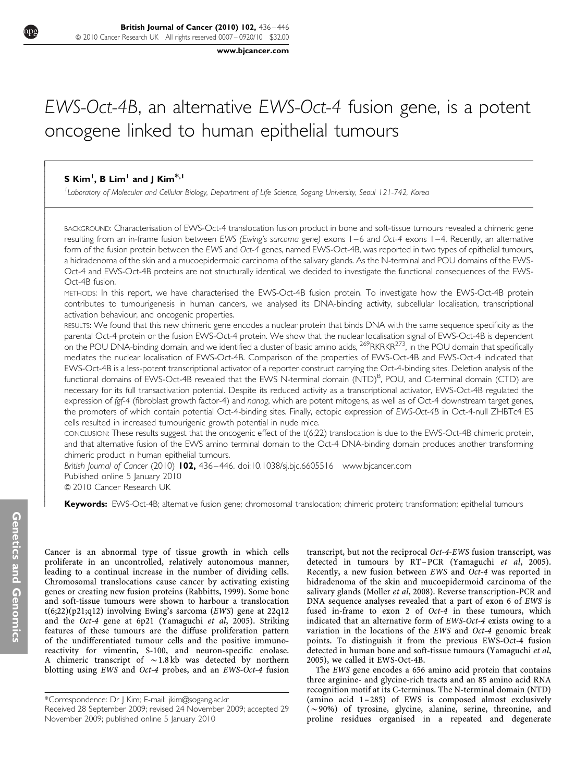[www.bjcancer.com](http://www.bjcancer.com)

# EWS-Oct-4B, an alternative EWS-Oct-4 fusion gene, is a potent oncogene linked to human epithelial tumours

# **S** Kim<sup>1</sup>, **B** Lim<sup>1</sup> and J Kim<sup>\*,1</sup>

------------------------------------------------------------

<sup>1</sup>Laboratory of Molecular and Cellular Biology, Department of Life Science, Sogang University, Seoul 121-742, Korea

BACKGROUND: Characterisation of EWS-Oct-4 translocation fusion product in bone and soft-tissue tumours revealed a chimeric gene resulting from an in-frame fusion between EWS (Ewing's sarcoma gene) exons 1–6 and Oct-4 exons 1–4. Recently, an alternative form of the fusion protein between the EWS and Oct-4 genes, named EWS-Oct-4B, was reported in two types of epithelial tumours, a hidradenoma of the skin and a mucoepidermoid carcinoma of the salivary glands. As the N-terminal and POU domains of the EWS-Oct-4 and EWS-Oct-4B proteins are not structurally identical, we decided to investigate the functional consequences of the EWS-Oct-4B fusion.

METHODS: In this report, we have characterised the EWS-Oct-4B fusion protein. To investigate how the EWS-Oct-4B protein contributes to tumourigenesis in human cancers, we analysed its DNA-binding activity, subcellular localisation, transcriptional activation behaviour, and oncogenic properties.

RESULTS: We found that this new chimeric gene encodes a nuclear protein that binds DNA with the same sequence specificity as the parental Oct-4 protein or the fusion EWS-Oct-4 protein. We show that the nuclear localisation signal of EWS-Oct-4B is dependent on the POU DNA-binding domain, and we identified a cluster of basic amino acids, <sup>269</sup>RKRKR<sup>273</sup>, in the POU domain that specifically mediates the nuclear localisation of EWS-Oct-4B. Comparison of the properties of EWS-Oct-4B and EWS-Oct-4 indicated that EWS-Oct-4B is a less-potent transcriptional activator of a reporter construct carrying the Oct-4-binding sites. Deletion analysis of the functional domains of EWS-Oct-4B revealed that the EWS N-terminal domain (NTD)<sup>B</sup>, POU, and C-terminal domain (CTD) are necessary for its full transactivation potential. Despite its reduced activity as a transcriptional activator, EWS-Oct-4B regulated the expression of fgf-4 (fibroblast growth factor-4) and nanog, which are potent mitogens, as well as of Oct-4 downstream target genes, the promoters of which contain potential Oct-4-binding sites. Finally, ectopic expression of EWS-Oct-4B in Oct-4-null ZHBTc4 ES cells resulted in increased tumourigenic growth potential in nude mice.

CONCLUSION: These results suggest that the oncogenic effect of the t(6;22) translocation is due to the EWS-Oct-4B chimeric protein, and that alternative fusion of the EWS amino terminal domain to the Oct-4 DNA-binding domain produces another transforming chimeric product in human epithelial tumours.

British Journal of Cancer (2010) 102, 436-446. doi:[10.1038/sj.bjc.6605516](http://dx.doi.org/10.1038/sj.bjc.6605516) [www.bjcancer.com](http://www.bjcancer.com) Published online 5 January 2010

& 2010 Cancer Research UK

Keywords: EWS-Oct-4B; alternative fusion gene; chromosomal translocation; chimeric protein; transformation; epithelial tumours

Cancer is an abnormal type of tissue growth in which cells proliferate in an uncontrolled, relatively autonomous manner, leading to a continual increase in the number of dividing cells. Chromosomal translocations cause cancer by activating existing genes or creating new fusion proteins [\(Rabbitts, 1999](#page-10-0)). Some bone and soft-tissue tumours were shown to harbour a translocation t(6;22)(p21;q12) involving Ewing's sarcoma (EWS) gene at 22q12 and the Oct-4 gene at 6p21 [\(Yamaguchi](#page-10-0) et al, 2005). Striking features of these tumours are the diffuse proliferation pattern of the undifferentiated tumour cells and the positive immunoreactivity for vimentin, S-100, and neuron-specific enolase. A chimeric transcript of  $\sim$  1.8 kb was detected by northern blotting using EWS and Oct-4 probes, and an EWS-Oct-4 fusion transcript, but not the reciprocal Oct-4-EWS fusion transcript, was detected in tumours by RT –PCR ([Yamaguchi](#page-10-0) et al, 2005). Recently, a new fusion between EWS and Oct-4 was reported in hidradenoma of the skin and mucoepidermoid carcinoma of the salivary glands ([Moller](#page-10-0) et al, 2008). Reverse transcription-PCR and DNA sequence analyses revealed that a part of exon 6 of EWS is fused in-frame to exon 2 of Oct-4 in these tumours, which indicated that an alternative form of EWS-Oct-4 exists owing to a variation in the locations of the EWS and Oct-4 genomic break points. To distinguish it from the previous EWS-Oct-4 fusion detected in human bone and soft-tissue tumours [\(Yamaguchi](#page-10-0) et al, [2005\)](#page-10-0), we called it EWS-Oct-4B.

The EWS gene encodes a 656 amino acid protein that contains three arginine- and glycine-rich tracts and an 85 amino acid RNA recognition motif at its C-terminus. The N-terminal domain (NTD) (amino acid 1 –285) of EWS is composed almost exclusively  $(\sim 90\%)$  of tyrosine, glycine, alanine, serine, threonine, and proline residues organised in a repeated and degenerate

Received 28 September 2009; revised 24 November 2009; accepted 29 November 2009; published online 5 January 2010 \*Correspondence: Dr J Kim; E-mail: [jkim@sogang.ac.kr](mailto:jkim@sogang.ac.kr)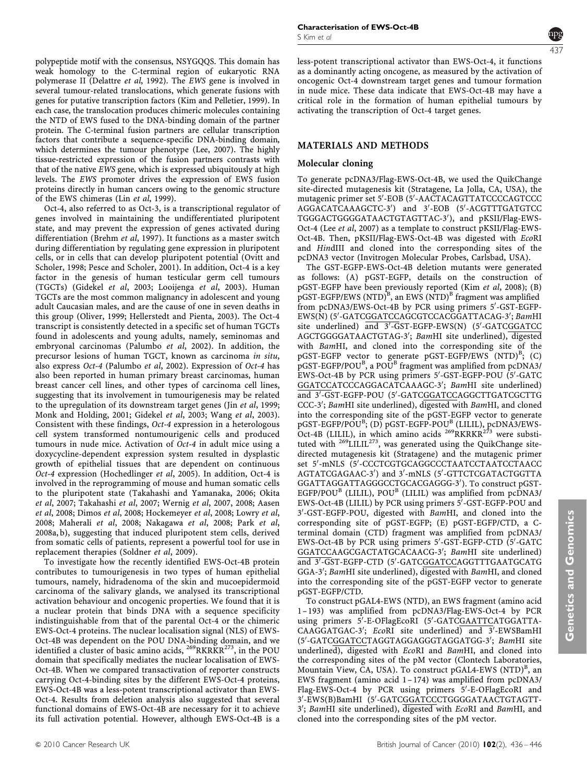polypeptide motif with the consensus, NSYGQQS. This domain has weak homology to the C-terminal region of eukaryotic RNA polymerase II ([Delattre](#page-9-0) et al, 1992). The EWS gene is involved in several tumour-related translocations, which generate fusions with genes for putative transcription factors [\(Kim and Pelletier, 1999](#page-9-0)). In each case, the translocation produces chimeric molecules containing the NTD of EWS fused to the DNA-binding domain of the partner protein. The C-terminal fusion partners are cellular transcription factors that contribute a sequence-specific DNA-binding domain, which determines the tumour phenotype ([Lee, 2007\)](#page-9-0). The highly tissue-restricted expression of the fusion partners contrasts with that of the native EWS gene, which is expressed ubiquitously at high levels. The EWS promoter drives the expression of EWS fusion proteins directly in human cancers owing to the genomic structure of the EWS chimeras (Lin et al[, 1999](#page-9-0)).

Oct-4, also referred to as Oct-3, is a transcriptional regulator of genes involved in maintaining the undifferentiated pluripotent state, and may prevent the expression of genes activated during differentiation [\(Brehm](#page-9-0) et al, 1997). It functions as a master switch during differentiation by regulating gene expression in pluripotent cells, or in cells that can develop pluripotent potential [\(Ovitt and](#page-10-0) [Scholer, 1998](#page-10-0); [Pesce and Scholer, 2001\)](#page-10-0). In addition, Oct-4 is a key factor in the genesis of human testicular germ cell tumours (TGCTs) ([Gidekel](#page-9-0) et al, 2003; [Looijenga](#page-9-0) et al, 2003). Human TGCTs are the most common malignancy in adolescent and young adult Caucasian males, and are the cause of one in seven deaths in this group [\(Oliver, 1999](#page-10-0); [Hellerstedt and Pienta, 2003\)](#page-9-0). The Oct-4 transcript is consistently detected in a specific set of human TGCTs found in adolescents and young adults, namely, seminomas and embryonal carcinomas [\(Palumbo](#page-10-0) et al, 2002). In addition, the precursor lesions of human TGCT, known as carcinoma in situ, also express Oct-4 [\(Palumbo](#page-10-0) et al, 2002). Expression of Oct-4 has also been reported in human primary breast carcinomas, human breast cancer cell lines, and other types of carcinoma cell lines, suggesting that its involvement in tumourigenesis may be related to the upregulation of its downstream target genes (Jin et al[, 1999;](#page-9-0) [Monk and Holding, 2001](#page-10-0); [Gidekel](#page-9-0) et al, 2003; Wang et al[, 2003\)](#page-10-0). Consistent with these findings, Oct-4 expression in a heterologous cell system transformed nontumourigenic cells and produced tumours in nude mice. Activation of Oct-4 in adult mice using a doxycycline-dependent expression system resulted in dysplastic growth of epithelial tissues that are dependent on continuous Oct-4 expression ([Hochedlinger](#page-9-0) et al, 2005). In addition, Oct-4 is involved in the reprogramming of mouse and human somatic cells to the pluripotent state [\(Takahashi and Yamanaka, 2006](#page-10-0); [Okita](#page-10-0) et al[, 2007; Takahashi](#page-10-0) et al, 2007; Wernig et al[, 2007, 2008](#page-10-0); [Aasen](#page-9-0) et al[, 2008; Dimos](#page-9-0) et al, 2008; [Hockemeyer](#page-9-0) et al, 2008; [Lowry](#page-9-0) et al, [2008](#page-9-0); [Maherali](#page-10-0) et al, 2008; [Nakagawa](#page-10-0) et al, 2008; Park [et al](#page-10-0), [2008a, b\)](#page-10-0), suggesting that induced pluripotent stem cells, derived from somatic cells of patients, represent a powerful tool for use in replacement therapies ([Soldner](#page-10-0) et al, 2009).

To investigate how the recently identified EWS-Oct-4B protein contributes to tumourigenesis in two types of human epithelial tumours, namely, hidradenoma of the skin and mucoepidermoid carcinoma of the salivary glands, we analysed its transcriptional activation behaviour and oncogenic properties. We found that it is a nuclear protein that binds DNA with a sequence specificity indistinguishable from that of the parental Oct-4 or the chimeric EWS-Oct-4 proteins. The nuclear localisation signal (NLS) of EWS-Oct-4B was dependent on the POU DNA-binding domain, and we identified a cluster of basic amino acids, <sup>269</sup>RKRKR<sup>273</sup>, in the POU domain that specifically mediates the nuclear localisation of EWS-Oct-4B. When we compared transactivation of reporter constructs carrying Oct-4-binding sites by the different EWS-Oct-4 proteins, EWS-Oct-4B was a less-potent transcriptional activator than EWS-Oct-4. Results from deletion analysis also suggested that several functional domains of EWS-Oct-4B are necessary for it to achieve its full activation potential. However, although EWS-Oct-4B is a Characterisation of EWS-Oct-4B S Kim et al



less-potent transcriptional activator than EWS-Oct-4, it functions as a dominantly acting oncogene, as measured by the activation of oncogenic Oct-4 downstream target genes and tumour formation in nude mice. These data indicate that EWS-Oct-4B may have a critical role in the formation of human epithelial tumours by activating the transcription of Oct-4 target genes.

# MATERIALS AND METHODS

# Molecular cloning

To generate pcDNA3/Flag-EWS-Oct-4B, we used the QuikChange site-directed mutagenesis kit (Stratagene, La Jolla, CA, USA), the mutagenic primer set 5'-EOB (5'-AACTACAGTTATCCCCAGTCCC AGGACATCAAAGCTC-3') and 3'-EOB (5'-ACGTTTGATGTCC TGGGACTGGGGATAACTGTAGTTAC-3'), and pKSII/Flag-EWS-Oct-4 (Lee et al[, 2007](#page-9-0)) as a template to construct pKSII/Flag-EWS-Oct-4B. Then, pKSII/Flag-EWS-Oct-4B was digested with EcoRI and HindIII and cloned into the corresponding sites of the pcDNA3 vector (Invitrogen Molecular Probes, Carlsbad, USA).

The GST-EGFP-EWS-Oct-4B deletion mutants were generated as follows: (A) pGST-EGFP, details on the construction of pGST-EGFP have been previously reported (Kim et al[, 2008\)](#page-9-0); (B) pGST-EGFP/EWS (NTD)<sup>B</sup>, an EWS (NTD)<sup>B</sup> fragment was amplified from pcDNA3/EWS-Oct-4B by PCR using primers 5'-GST-EGFP-EWS(N) (5'-GATCGGATCCAGCGTCCACGGATTACAG-3'; BamHI site underlined) and 3'-GST-EGFP-EWS(N) (5'-GATCGGATCC AGCTGGGGATAACTGTAG-3'; BamHI site underlined), digested with BamHI, and cloned into the corresponding site of the pGST-EGFP vector to generate pGST-EGFP/EWS (NTD)<sup>B</sup>; (C)  $_{\rm pGST\text{-}EGFP/POU}^{\rm B}$ , a POU<sup>B</sup> fragment was amplified from pcDNA3/ EWS-Oct-4B by PCR using primers 5'-GST-EGFP-POU (5'-GATC GGATCCATCCCAGGACATCAAAGC-3'; BamHI site underlined) and 3'-GST-EGFP-POU (5'-GATCGGATCCAGGCTTGATCGCTTG CCC-3'; BamHI site underlined), digested with BamHI, and cloned into the corresponding site of the pGST-EGFP vector to generate pGST-EGFP/POU<sup>B</sup>; (D) pGST-EGFP-POU<sup>B</sup> (LILIL), pcDNA3/EWS-Oct-4B (LILIL), in which amino acids  $^{269}$ RKRKR<sup>273</sup> were substituted with <sup>269</sup>LILIL<sup>273</sup>, was generated using the QuikChange sitedirected mutagenesis kit (Stratagene) and the mutagenic primer set 5'-mNLS (5'-CCCTCGTGCAGGCCCTAATCCTAATCCTAACC AGTATCGAGAAC-3') and 3'-mNLS (5'-GTTCTCGATACTGGTTA GGATTAGGATTAGGGCCTGCACGAGGG-3'). To construct pGST-EGFP/POU<sup>B</sup> (LILIL), POU<sup>B</sup> (LILIL) was amplified from pcDNA3/  $EWS-Oct-4B$  (LILIL) by PCR using primers  $5^7$ -GST-EGFP-POU and 3'-GST-EGFP-POU, digested with BamHI, and cloned into the corresponding site of pGST-EGFP; (E) pGST-EGFP/CTD, a Cterminal domain (CTD) fragment was amplified from pcDNA3/ EWS-Oct-4B by PCR using primers 5'-GST-EGFP-CTD (5'-GATC GGATCCAAGCGACTATGCACAACG-3'; BamHI site underlined) and 3'-GST-EGFP-CTD (5'-GATCGGATCCAGGTTTGAATGCATG GGA-3'; BamHI site underlined), digested with BamHI, and cloned into the corresponding site of the pGST-EGFP vector to generate pGST-EGFP/CTD.

To construct pGAL4-EWS (NTD), an EWS fragment (amino acid 1 –193) was amplified from pcDNA3/Flag-EWS-Oct-4 by PCR using primers 5'-E-OFlagEcoRI (5'-GATCGAATTCATGGATTA-CAAGGATGAC-3'; EcoRI site underlined) and 3'-EWSBamHI (5'-GATCGGATCCTAGGTAGGAGGGTAGGATGG-3'; BamHI site underlined), digested with EcoRI and BamHI, and cloned into the corresponding sites of the pM vector (Clontech Laboratories, Mountain View, CA, USA). To construct pGAL4-EWS (NTD)<sup>B</sup>, an EWS fragment (amino acid 1 –174) was amplified from pcDNA3/ Flag-EWS-Oct-4 by PCR using primers 5'-E-OFlagEcoRI and 3'-EWS(B)BamHI (5'-GATCGGATCCCTGGGGATAACTGTAGTT-3'; BamHI site underlined), digested with EcoRI and BamHI, and cloned into the corresponding sites of the pM vector.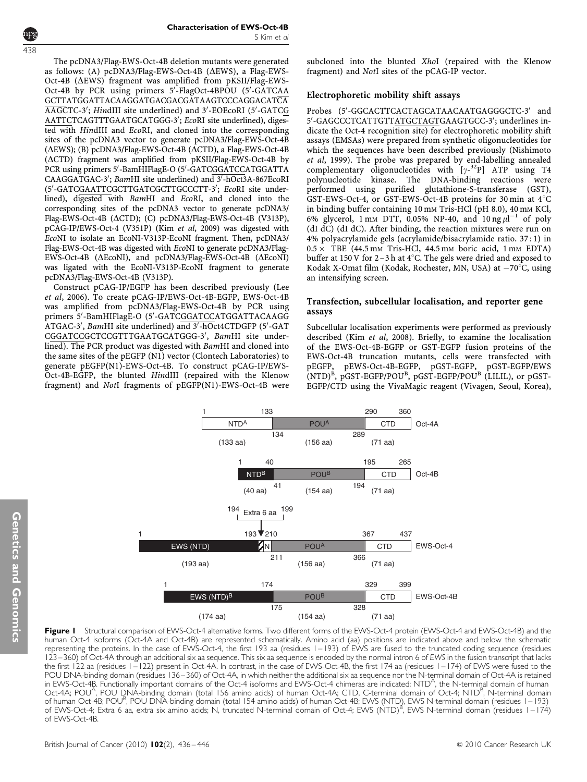<span id="page-2-0"></span>438

The pcDNA3/Flag-EWS-Oct-4B deletion mutants were generated as follows: (A)  $pc\overline{DNA3/Flag-EWS-Oct-4B}$  ( $\Delta EWS$ ), a Flag-EWS-Oct-4B ( $\triangle EWS$ ) fragment was amplified from pKSII/Flag-EWS-Oct-4B by PCR using primers 5'-FlagOct-4BPOU (5'-GATCAA GCTTATGGATTACAAGGATGACGACGATAAGTCCCAGGACATCA AAGCTC-3'; HindIII site underlined) and 3'-EOEcoRI (5'-GATCG AATTCTCAGTTTGAATGCATGGG-3'; EcoRI site underlined), digested with HindIII and EcoRI, and cloned into the corresponding sites of the pcDNA3 vector to generate pcDNA3/Flag-EWS-Oct-4B ( $\Delta$ EWS); (B) pcDNA3/Flag-EWS-Oct-4B ( $\Delta$ CTD), a Flag-EWS-Oct-4B  $(\Delta CTD)$  fragment was amplified from pKSII/Flag-EWS-Oct-4B by PCR using primers 5'-BamHIFlagE-O (5'-GATCGGATCCATGGATTA CAAGGATGAC-3'; BamHI site underlined) and 3'-hOct3A-867EcoRI (5'-GATCGAATTCGCTTGATCGCTTGCCCTT-3'; EcoRI site underlined), digested with BamHI and EcoRI, and cloned into the corresponding sites of the pcDNA3 vector to generate pcDNA3/ Flag-EWS-Oct-4B (ΔCTD); (C) pcDNA3/Flag-EWS-Oct-4B (V313P), pCAG-IP/EWS-Oct-4 (V351P) (Kim et al[, 2009\)](#page-9-0) was digested with EcoNI to isolate an EcoNI-V313P-EcoNI fragment. Then, pcDNA3/ Flag-EWS-Oct-4B was digested with EcoNI to generate pcDNA3/Flag- $EWS-Oct-4B$  ( $\triangle EcoNI$ ), and  $pcDNA3/Flag-EWS-Oct-4B$  ( $\triangle EcoNI$ ) was ligated with the EcoNI-V313P-EcoNI fragment to generate pcDNA3/Flag-EWS-Oct-4B (V313P).

Construct pCAG-IP/EGFP has been described previously ([Lee](#page-9-0) et al[, 2006](#page-9-0)). To create pCAG-IP/EWS-Oct-4B-EGFP, EWS-Oct-4B was amplified from pcDNA3/Flag-EWS-Oct-4B by PCR using primers 5'-BamHIFlagE-O (5'-GATCGGATCCATGGATTACAAGG ATGAC-3', BamHI site underlined) and 3'-hOct4CTDGFP (5'-GAT CGGATCCGCTCCGTTTGAATGCATGGG-3', BamHI site underlined). The PCR product was digested with BamHI and cloned into the same sites of the pEGFP (N1) vector (Clontech Laboratories) to generate pEGFP(N1)-EWS-Oct-4B. To construct pCAG-IP/EWS-Oct-4B-EGFP, the blunted HindIII (repaired with the Klenow fragment) and NotI fragments of pEGFP(N1)-EWS-Oct-4B were subcloned into the blunted XhoI (repaired with the Klenow fragment) and NotI sites of the pCAG-IP vector.

# Electrophoretic mobility shift assays

Probes (5'-GGCACTTCACTAGCATAACAATGAGGGCTC-3' and 5'-GAGCCCTCATTGTTATGCTAGTGAAGTGCC-3'; underlines indicate the Oct-4 recognition site) for electrophoretic mobility shift assays (EMSAs) were prepared from synthetic oligonucleotides for which the sequences have been described previously [\(Nishimoto](#page-10-0) et al[, 1999](#page-10-0)). The probe was prepared by end-labelling annealed complementary oligonucleotides with  $[\gamma^{-32}P]$  ATP using T4 polynucleotide kinase. The DNA-binding reactions were performed using purified glutathione-S-transferase (GST), GST-EWS-Oct-4, or GST-EWS-Oct-4B proteins for 30 min at  $4^{\circ}$ C in binding buffer containing 10 mm Tris-HCl (pH 8.0), 40 mm KCl, 6% glycerol, 1 mm DTT, 0.05% NP-40, and  $10 \text{ ng } \mu l^{-1}$  of poly (dI dC) (dI dC). After binding, the reaction mixtures were run on 4% polyacrylamide gels (acrylamide/bisacrylamide ratio. 37 : 1) in  $0.5 \times$  TBE (44.5 mM Tris-HCl, 44.5 mM boric acid, 1 mM EDTA) buffer at 150 V for  $2-3h$  at 4°C. The gels were dried and exposed to Kodak X-Omat film (Kodak, Rochester, MN, USA) at -70°C, using an intensifying screen.

# Transfection, subcellular localisation, and reporter gene assays

Subcellular localisation experiments were performed as previously described (Kim et al[, 2008\)](#page-9-0). Briefly, to examine the localisation of the EWS-Oct-4B-EGFP or GST-EGFP fusion proteins of the EWS-Oct-4B truncation mutants, cells were transfected with pEGFP, pEWS-Oct-4B-EGFP, pGST-EGFP, pGST-EGFP/EWS  $(NTD)^B$ , pGST-EGFP/POU<sup>B</sup>, pGST-EGFP/POU<sup>B</sup> (LILIL), or pGST-EGFP/CTD using the VivaMagic reagent (Vivagen, Seoul, Korea),



Figure I Structural comparison of EWS-Oct-4 alternative forms. Two different forms of the EWS-Oct-4 protein (EWS-Oct-4 and EWS-Oct-4B) and the human Oct-4 isoforms (Oct-4A and Oct-4B) are represented schematically. Amino acid (aa) positions are indicated above and below the schematic representing the proteins. In the case of EWS-Oct-4, the first 193 aa (residues 1 – 193) of EWS are fused to the truncated coding sequence (residues 123 – 360) of Oct-4A through an additional six aa sequence. This six aa sequence is encoded by the normal intron 6 of EWS in the fusion transcript that lacks the first 122 aa (residues 1 – 122) present in Oct-4A. In contrast, in the case of EWS-Oct-4B, the first 174 aa (residues 1 – 174) of EWS were fused to the POU DNA-binding domain (residues 136–360) of Oct-4A, in which neither the additional six aa sequence nor the N-terminal domain of Oct-4A is retained in EWS-Oct-4B. Functionally important domains of the Oct-4 isoforms and EWS-Oct-4 chimeras are indicated: NTD<sup>A</sup>, the N-terminal domain of human Oct-4A; POU<sup>A</sup>, POU DNÁ-binding domain (total 156 amino acids) of human Oct-4A; CTD, C-terminal domain of Oct-4; NTD<sup>B</sup>, N-terminal domain of human Oct-4B; POU<sup>B</sup>, POU DNA-binding domain (total 154 amino acids) of human Oct-4B; EWS (NTD), EWS N-terminal domain (residues 1–193) of EWS-Oct-4; Extra 6 aa, extra six amino acids; N, truncated N-terminal domain of Oct-4; EWS (NTD)<sup>B</sup>, EWS N-terminal domain (residues 1–174) of EWS-Oct-4B.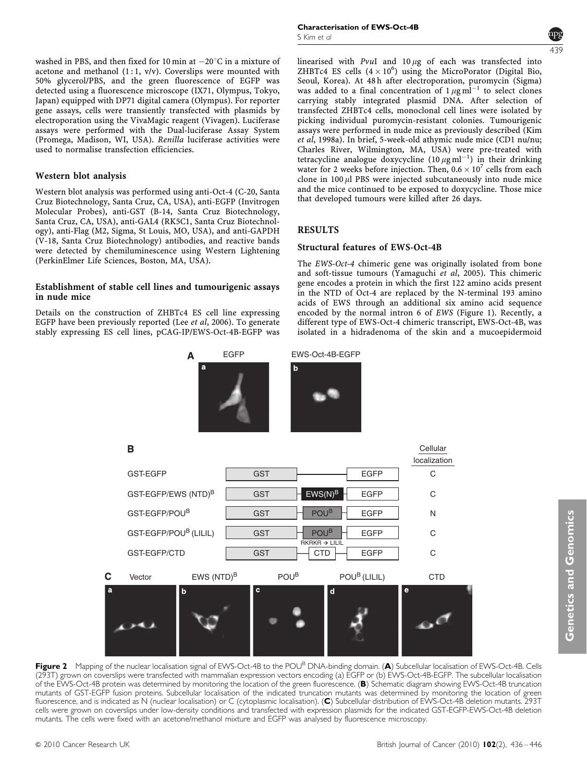<span id="page-3-0"></span>washed in PBS, and then fixed for 10 min at  $-20^{\circ}$ C in a mixture of acetone and methanol  $(1:1, v/v)$ . Coverslips were mounted with 50% glycerol/PBS, and the green fluorescence of EGFP was detected using a fluorescence microscope (IX71, Olympus, Tokyo, Japan) equipped with DP71 digital camera (Olympus). For reporter gene assays, cells were transiently transfected with plasmids by electroporation using the VivaMagic reagent (Vivagen). Luciferase assays were performed with the Dual-luciferase Assay System (Promega, Madison, WI, USA). Renilla luciferase activities were used to normalise transfection efficiencies.

#### Western blot analysis

Western blot analysis was performed using anti-Oct-4 (C-20, Santa Cruz Biotechnology, Santa Cruz, CA, USA), anti-EGFP (Invitrogen Molecular Probes), anti-GST (B-14, Santa Cruz Biotechnology, Santa Cruz, CA, USA), anti-GAL4 (RK5C1, Santa Cruz Biotechnology), anti-Flag (M2, Sigma, St Louis, MO, USA), and anti-GAPDH (V-18, Santa Cruz Biotechnology) antibodies, and reactive bands were detected by chemiluminescence using Western Lightening (PerkinElmer Life Sciences, Boston, MA, USA).

#### Establishment of stable cell lines and tumourigenic assays in nude mice

Details on the construction of ZHBTc4 ES cell line expressing EGFP have been previously reported (Lee et al[, 2006\)](#page-9-0). To generate stably expressing ES cell lines, pCAG-IP/EWS-Oct-4B-EGFP was



linearised with  $PvuI$  and  $10 \mu g$  of each was transfected into ZHBTc4 ES cells  $(4 \times 10^6)$  using the MicroPorator (Digital Bio, Seoul, Korea). At 48 h after electroporation, puromycin (Sigma) was added to a final concentration of  $1 \mu g$  ml<sup>-1</sup> to select clones carrying stably integrated plasmid DNA. After selection of transfected ZHBTc4 cells, monoclonal cell lines were isolated by picking individual puromycin-resistant colonies. Tumourigenic assays were performed in nude mice as previously described [\(Kim](#page-9-0) et al[, 1998a](#page-9-0)). In brief, 5-week-old athymic nude mice (CD1 nu/nu; Charles River, Wilmington, MA, USA) were pre-treated with tetracycline analogue doxycycline  $(10 \mu g \text{ ml}^{-1})$  in their drinking water for 2 weeks before injection. Then,  $0.6 \times 10^7$  cells from each clone in  $100 \mu$ l PBS were injected subcutaneously into nude mice and the mice continued to be exposed to doxycycline. Those mice that developed tumours were killed after 26 days.

# RESULTS

#### Structural features of EWS-Oct-4B

The EWS-Oct-4 chimeric gene was originally isolated from bone and soft-tissue tumours ([Yamaguchi](#page-10-0) et al, 2005). This chimeric gene encodes a protein in which the first 122 amino acids present in the NTD of Oct-4 are replaced by the N-terminal 193 amino acids of EWS through an additional six amino acid sequence encoded by the normal intron 6 of EWS ([Figure 1\)](#page-2-0). Recently, a different type of EWS-Oct-4 chimeric transcript, EWS-Oct-4B, was isolated in a hidradenoma of the skin and a mucoepidermoid





Figure 2 Mapping of the nuclear localisation signal of EWS-Oct-4B to the POU<sup>B</sup> DNA-binding domain. (A) Subcellular localisation of EWS-Oct-4B. Cells (293T) grown on coverslips were transfected with mammalian expression vectors encoding (a) EGFP or (b) EWS-Oct-4B-EGFP. The subcellular localisation of the EWS-Oct-4B protein was determined by monitoring the location of the green fluorescence. (B) Schematic diagram showing EWS-Oct-4B truncation mutants of GST-EGFP fusion proteins. Subcellular localisation of the indicated truncation mutants was determined by monitoring the location of green fluorescence, and is indicated as N (nuclear localisation) or C (cytoplasmic localisation). (C) Subcellular distribution of EWS-Oct-4B deletion mutants. 293T cells were grown on coverslips under low-density conditions and transfected with expression plasmids for the indicated GST-EGFP-EWS-Oct-4B deletion mutants. The cells were fixed with an acetone/methanol mixture and EGFP was analysed by fluorescence microscopy.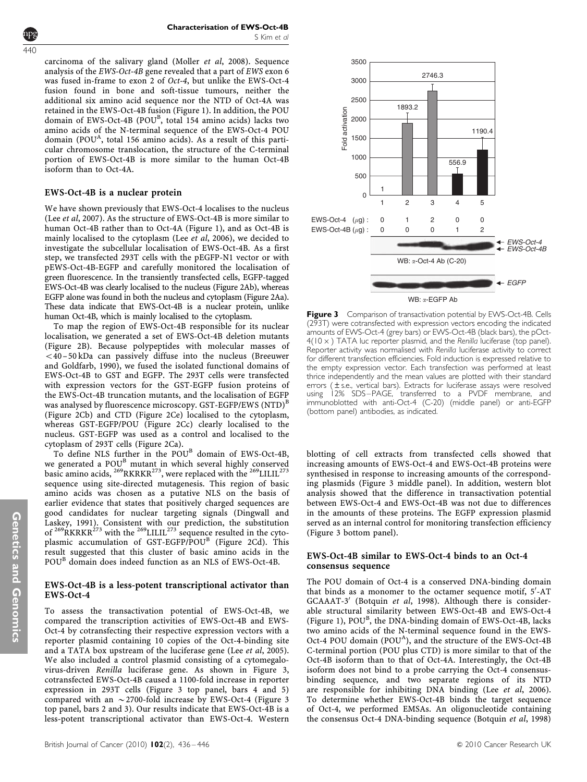<span id="page-4-0"></span>

Characterisation of EWS-Oct-4B S Kim et al

carcinoma of the salivary gland [\(Moller](#page-10-0) et al, 2008). Sequence analysis of the EWS-Oct-4B gene revealed that a part of EWS exon 6 was fused in-frame to exon 2 of Oct-4, but unlike the EWS-Oct-4 fusion found in bone and soft-tissue tumours, neither the additional six amino acid sequence nor the NTD of Oct-4A was retained in the EWS-Oct-4B fusion ([Figure 1\)](#page-2-0). In addition, the POU domain of EWS-Oct-4B (POU<sup>B</sup>, total 154 amino acids) lacks two amino acids of the N-terminal sequence of the EWS-Oct-4 POU domain (POU<sup>A</sup>, total 156 amino acids). As a result of this particular chromosome translocation, the structure of the C-terminal portion of EWS-Oct-4B is more similar to the human Oct-4B isoform than to Oct-4A.

## EWS-Oct-4B is a nuclear protein

We have shown previously that EWS-Oct-4 localises to the nucleus (Lee et al[, 2007\)](#page-9-0). As the structure of EWS-Oct-4B is more similar to human Oct-4B rather than to Oct-4A ([Figure 1\)](#page-2-0), and as Oct-4B is mainly localised to the cytoplasm (Lee et al[, 2006\)](#page-9-0), we decided to investigate the subcellular localisation of EWS-Oct-4B. As a first step, we transfected 293T cells with the pEGFP-N1 vector or with pEWS-Oct-4B-EGFP and carefully monitored the localisation of green fluorescence. In the transiently transfected cells, EGFP-tagged EWS-Oct-4B was clearly localised to the nucleus [\(Figure 2Ab\)](#page-3-0), whereas EGFP alone was found in both the nucleus and cytoplasm [\(Figure 2Aa](#page-3-0)). These data indicate that EWS-Oct-4B is a nuclear protein, unlike human Oct-4B, which is mainly localised to the cytoplasm.

To map the region of EWS-Oct-4B responsible for its nuclear localisation, we generated a set of EWS-Oct-4B deletion mutants ([Figure 2B\)](#page-3-0). Because polypeptides with molecular masses of  $<$ 40 – 50 kDa can passively diffuse into the nucleus ([Breeuwer](#page-9-0) [and Goldfarb, 1990\)](#page-9-0), we fused the isolated functional domains of EWS-Oct-4B to GST and EGFP. The 293T cells were transfected with expression vectors for the GST-EGFP fusion proteins of the EWS-Oct-4B truncation mutants, and the localisation of EGFP was analysed by fluorescence microscopy. GST-EGFP/EWS (NTD)<sup>B</sup> ([Figure 2Cb](#page-3-0)) and CTD ([Figure 2Ce\)](#page-3-0) localised to the cytoplasm, whereas GST-EGFP/POU ([Figure 2Cc\)](#page-3-0) clearly localised to the nucleus. GST-EGFP was used as a control and localised to the cytoplasm of 293T cells [\(Figure 2Ca\)](#page-3-0).

To define NLS further in the POU<sup>B</sup> domain of EWS-Oct-4B, we generated a POU<sup>B</sup> mutant in which several highly conserved basic amino acids,  $^{269}$ RKRKR<sup>273</sup>, were replaced with the  $^{269}$ LILIL<sup>273</sup> sequence using site-directed mutagenesis. This region of basic amino acids was chosen as a putative NLS on the basis of earlier evidence that states that positively charged sequences are good candidates for nuclear targeting signals [\(Dingwall and](#page-9-0) [Laskey, 1991\)](#page-9-0). Consistent with our prediction, the substitution of  $^{269}$ RKRKR $^{273}$  with the  $^{269}$ LILIL<sup>273</sup> sequence resulted in the cyto-plasmic accumulation of GST-EGFP/POU<sup>B</sup> ([Figure 2Cd\)](#page-3-0). This result suggested that this cluster of basic amino acids in the POU<sup>B</sup> domain does indeed function as an NLS of EWS-Oct-4B.

# EWS-Oct-4B is a less-potent transcriptional activator than EWS-Oct-4

To assess the transactivation potential of EWS-Oct-4B, we compared the transcription activities of EWS-Oct-4B and EWS-Oct-4 by cotransfecting their respective expression vectors with a reporter plasmid containing 10 copies of the Oct-4-binding site and a TATA box upstream of the luciferase gene (Lee *et al*[, 2005](#page-9-0)). We also included a control plasmid consisting of a cytomegalovirus-driven Renilla luciferase gene. As shown in Figure 3, cotransfected EWS-Oct-4B caused a 1100-fold increase in reporter expression in 293T cells (Figure 3 top panel, bars 4 and 5) compared with an  $\sim$  2700-fold increase by EWS-Oct-4 (Figure 3 top panel, bars 2 and 3). Our results indicate that EWS-Oct-4B is a less-potent transcriptional activator than EWS-Oct-4. Western



Figure 3 Comparison of transactivation potential by EWS-Oct-4B. Cells (293T) were cotransfected with expression vectors encoding the indicated amounts of EWS-Oct-4 (grey bars) or EWS-Oct-4B (black bars), the pOct- $4(10 \times)$  TATA luc reporter plasmid, and the Renilla luciferase (top panel). Reporter activity was normalised with Renilla luciferase activity to correct for different transfection efficiencies. Fold induction is expressed relative to the empty expression vector. Each transfection was performed at least thrice independently and the mean values are plotted with their standard errors (±s.e., vertical bars). Extracts for luciferase assays were resolved using 12% SDS-PAGE, transferred to a PVDF membrane, and immunoblotted with anti-Oct-4 (C-20) (middle panel) or anti-EGFP (bottom panel) antibodies, as indicated.

blotting of cell extracts from transfected cells showed that increasing amounts of EWS-Oct-4 and EWS-Oct-4B proteins were synthesised in response to increasing amounts of the corresponding plasmids (Figure 3 middle panel). In addition, western blot analysis showed that the difference in transactivation potential between EWS-Oct-4 and EWS-Oct-4B was not due to differences in the amounts of these proteins. The EGFP expression plasmid served as an internal control for monitoring transfection efficiency (Figure 3 bottom panel).

#### EWS-Oct-4B similar to EWS-Oct-4 binds to an Oct-4 consensus sequence

The POU domain of Oct-4 is a conserved DNA-binding domain that binds as a monomer to the octamer sequence motif, 5'-AT GCAAAT-3' ([Botquin](#page-9-0) et al, 1998). Although there is considerable structural similarity between EWS-Oct-4B and EWS-Oct-4 ([Figure 1](#page-2-0)), POU<sup>B</sup>, the DNA-binding domain of EWS-Oct-4B, lacks two amino acids of the N-terminal sequence found in the EWS-Oct-4 POU domain (POU<sup>A</sup>), and the structure of the EWS-Oct-4B C-terminal portion (POU plus CTD) is more similar to that of the Oct-4B isoform than to that of Oct-4A. Interestingly, the Oct-4B isoform does not bind to a probe carrying the Oct-4 consensusbinding sequence, and two separate regions of its NTD are responsible for inhibiting DNA binding (Lee et al[, 2006](#page-9-0)). To determine whether EWS-Oct-4B binds the target sequence of Oct-4, we performed EMSAs. An oligonucleotide containing the consensus Oct-4 DNA-binding sequence [\(Botquin](#page-9-0) et al, 1998)

Genetics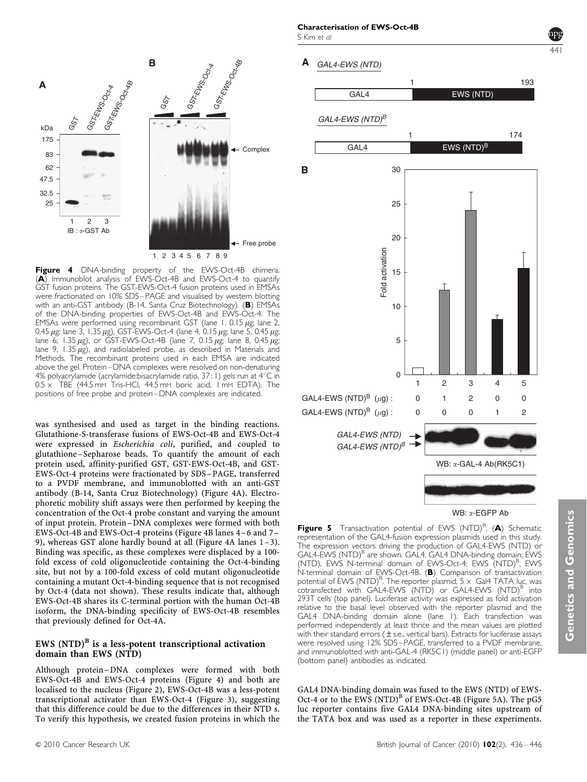<span id="page-5-0"></span>

Figure 4 DNA-binding property of the EWS-Oct-4B chimera. (A) Immunoblot analysis of EWS-Oct-4B and EWS-Oct-4 to quantify GST fusion proteins. The GST-EWS-Oct-4 fusion proteins used in EMSAs were fractionated on 10% SDS-PAGE and visualised by western blotting with an anti-GST antibody (B-14, Santa Cruz Biotechnology). (B) EMSAs of the DNA-binding properties of EWS-Oct-4B and EWS-Oct-4. The EMSAs were performed using recombinant GST (lane 1, 0.15  $\mu$ g; lane 2, 0.45  $\mu$ g; lane 3, 1.35  $\mu$ g), GST-EWS-Oct-4 (lane 4, 0.15  $\mu$ g; lane 5, 0.45  $\mu$ g; lane 6; 1.35  $\mu$ g), or GST-EWS-Oct-4B (lane 7, 0.15  $\mu$ g; lane 8, 0.45  $\mu$ g; lane 9, 1.35  $\mu$ g), and radiolabeled probe, as described in Materials and Methods. The recombinant proteins used in each EMSA are indicated above the gel. Protein –DNA complexes were resolved on non-denaturing 4% polyacrylamide (acrylamide:bisacrylamide ratio,  $37:1$ ) gels run at  $4^{\circ}$ C in  $0.5 \times$  TBE (44.5 mm Tris-HCl, 44.5 mm boric acid, 1 mm EDTA). The positions of free probe and protein –DNA complexes are indicated.

was synthesised and used as target in the binding reactions. Glutathione-S-transferase fusions of EWS-Oct-4B and EWS-Oct-4 were expressed in Escherichia coli, purified, and coupled to glutathione –Sepharose beads. To quantify the amount of each protein used, affinity-purified GST, GST-EWS-Oct-4B, and GST-EWS-Oct-4 proteins were fractionated by SDS – PAGE, transferred to a PVDF membrane, and immunoblotted with an anti-GST antibody (B-14, Santa Cruz Biotechnology) (Figure 4A). Electrophoretic mobility shift assays were then performed by keeping the concentration of the Oct-4 probe constant and varying the amount of input protein. Protein –DNA complexes were formed with both EWS-Oct-4B and EWS-Oct-4 proteins (Figure 4B lanes 4 –6 and 7 – 9), whereas GST alone hardly bound at all (Figure 4A lanes 1 –3). Binding was specific, as these complexes were displaced by a 100 fold excess of cold oligonucleotide containing the Oct-4-binding site, but not by a 100-fold excess of cold mutant oligonucleotide containing a mutant Oct-4-binding sequence that is not recognised by Oct-4 (data not shown). These results indicate that, although EWS-Oct-4B shares its C-terminal portion with the human Oct-4B isoform, the DNA-binding specificity of EWS-Oct-4B resembles that previously defined for Oct-4A.

# EWS  $(NTD)^B$  is a less-potent transcriptional activation domain than EWS (NTD)

Although protein –DNA complexes were formed with both EWS-Oct-4B and EWS-Oct-4 proteins (Figure 4) and both are localised to the nucleus ([Figure 2\)](#page-3-0), EWS-Oct-4B was a less-potent transcriptional activator than EWS-Oct-4 ([Figure 3](#page-4-0)), suggesting that this difference could be due to the differences in their NTD s. To verify this hypothesis, we created fusion proteins in which the A





Figure 5 Transactivation potential of EWS (NTD)<sup>B</sup>. (A) Schematic representation of the GAL4-fusion expression plasmids used in this study. The expression vectors driving the production of GAL4-EWS (NTD) or GAL4-EWS (NTD)<sup>B</sup> are shown. GAL4, GAL4 DNA-binding domain; EWS (NTD), EWS N-terminal domain of EWS-Oct-4; EWS (NTD)<sup>B</sup>, EWS N-terminal domain of EWS-Oct-4B. (B) Comparison of transactivation potential of EWS (NTD)<sup>B</sup>. The reporter plasmid,  $5 \times$  Gal4 TATA luc, was cotransfected with GAL4-EWS (NTD) or GAL4-EWS (NTD)<sup>b</sup> into 293T cells (top panel). Luciferase activity was expressed as fold activation relative to the basal level observed with the reporter plasmid and the GAL4 DNA-binding domain alone (lane 1). Each transfection was performed independently at least thrice and the mean values are plotted with their standard errors  $(\pm$  s.e., vertical bars). Extracts for luciferase assays were resolved using 12% SDS – PAGE, transferred to a PVDF membrane, and immunoblotted with anti-GAL-4 (RK5C1) (middle panel) or anti-EGFP (bottom panel) antibodies as indicated.

GAL4 DNA-binding domain was fused to the EWS (NTD) of EWS-Oct-4 or to the EWS (NTD)<sup>B</sup> of EWS-Oct-4B (Figure 5A). The pG5 luc reporter contains five GAL4 DNA-binding sites upstream of the TATA box and was used as a reporter in these experiments.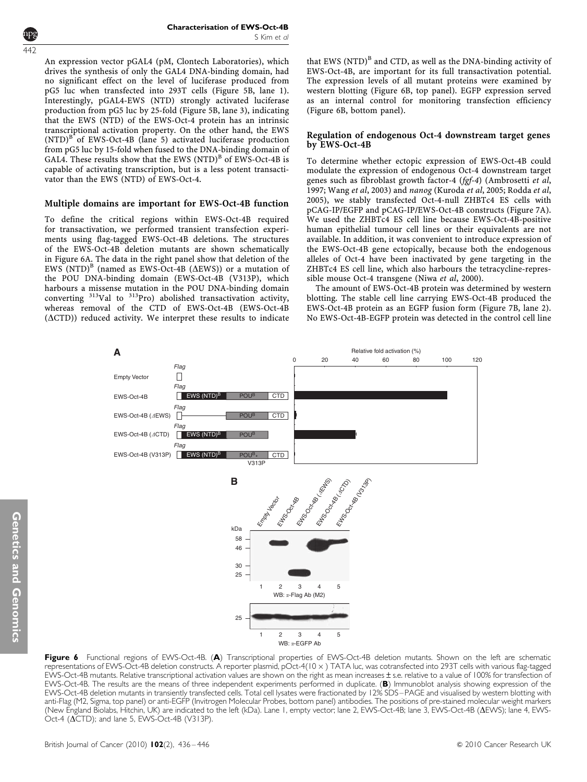442

An expression vector pGAL4 (pM, Clontech Laboratories), which drives the synthesis of only the GAL4 DNA-binding domain, had no significant effect on the level of luciferase produced from pG5 luc when transfected into 293T cells ([Figure 5B,](#page-5-0) lane 1). Interestingly, pGAL4-EWS (NTD) strongly activated luciferase production from pG5 luc by 25-fold [\(Figure 5B](#page-5-0), lane 3), indicating that the EWS (NTD) of the EWS-Oct-4 protein has an intrinsic transcriptional activation property. On the other hand, the EWS  $(NTD)^B$  of EWS-Oct-4B (lane 5) activated luciferase production from pG5 luc by 15-fold when fused to the DNA-binding domain of GAL4. These results show that the EWS  $(NTD)^B$  of EWS-Oct-4B is capable of activating transcription, but is a less potent transactivator than the EWS (NTD) of EWS-Oct-4.

# Multiple domains are important for EWS-Oct-4B function

To define the critical regions within EWS-Oct-4B required for transactivation, we performed transient transfection experiments using flag-tagged EWS-Oct-4B deletions. The structures of the EWS-Oct-4B deletion mutants are shown schematically in Figure 6A. The data in the right panel show that deletion of the EWS (NTD)<sup>B</sup> (named as EWS-Oct-4B ( $\Delta$ EWS)) or a mutation of the POU DNA-binding domain (EWS-Oct-4B (V313P), which harbours a missense mutation in the POU DNA-binding domain converting  $313$ Val to  $313$ Pro) abolished transactivation activity, whereas removal of the CTD of EWS-Oct-4B (EWS-Oct-4B  $(\Delta CTD)$ ) reduced activity. We interpret these results to indicate that EWS  $(NTD)^B$  and CTD, as well as the DNA-binding activity of EWS-Oct-4B, are important for its full transactivation potential. The expression levels of all mutant proteins were examined by western blotting (Figure 6B, top panel). EGFP expression served as an internal control for monitoring transfection efficiency (Figure 6B, bottom panel).

# Regulation of endogenous Oct-4 downstream target genes by EWS-Oct-4B

To determine whether ectopic expression of EWS-Oct-4B could modulate the expression of endogenous Oct-4 downstream target genes such as fibroblast growth factor-4 (fgf-4) ([Ambrosetti](#page-9-0) et al, [1997;](#page-9-0) [Wang](#page-10-0) et al, 2003) and nanog ([Kuroda](#page-9-0) et al, 2005; [Rodda](#page-10-0) et al, [2005\)](#page-10-0), we stably transfected Oct-4-null ZHBTc4 ES cells with pCAG-IP/EGFP and pCAG-IP/EWS-Oct-4B constructs ([Figure 7A](#page-7-0)). We used the ZHBTc4 ES cell line because EWS-Oct-4B-positive human epithelial tumour cell lines or their equivalents are not available. In addition, it was convenient to introduce expression of the EWS-Oct-4B gene ectopically, because both the endogenous alleles of Oct-4 have been inactivated by gene targeting in the ZHBTc4 ES cell line, which also harbours the tetracycline-repressible mouse Oct-4 transgene (Niwa et al[, 2000\)](#page-10-0).

The amount of EWS-Oct-4B protein was determined by western blotting. The stable cell line carrying EWS-Oct-4B produced the EWS-Oct-4B protein as an EGFP fusion form ([Figure 7B,](#page-7-0) lane 2). No EWS-Oct-4B-EGFP protein was detected in the control cell line



Figure 6 Functional regions of EWS-Oct-4B. (A) Transcriptional properties of EWS-Oct-4B deletion mutants. Shown on the left are schematic representations of EWS-Oct-4B deletion constructs. A reporter plasmid, pOct-4(10 x) TATA luc, was cotransfected into 293T cells with various flag-tagged EWS-Oct-4B mutants. Relative transcriptional activation values are shown on the right as mean increases ± s.e. relative to a value of 100% for transfection of EWS-Oct-4B. The results are the means of three independent experiments performed in duplicate. (B) Immunoblot analysis showing expression of the EWS-Oct-4B deletion mutants in transiently transfected cells. Total cell lysates were fractionated by 12% SDS – PAGE and visualised by western blotting with anti-Flag (M2, Sigma, top panel) or anti-EGFP (Invitrogen Molecular Probes, bottom panel) antibodies. The positions of pre-stained molecular weight markers (New England Biolabs, Hitchin, UK) are indicated to the left (kDa). Lane 1, empty vector; lane 2, EWS-Oct-4B; lane 3, EWS-Oct-4B (DEWS); lane 4, EWS-Oct-4 ( $\Delta$ CTD); and lane 5, EWS-Oct-4B (V313P).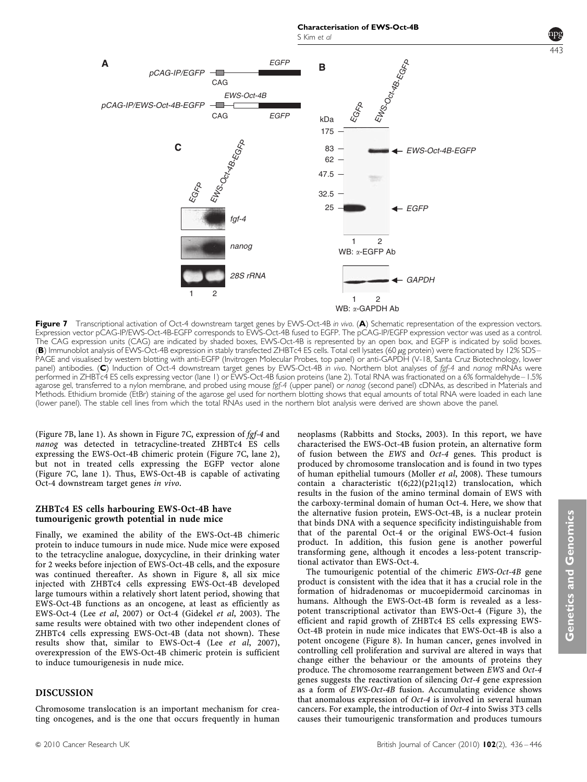<span id="page-7-0"></span>

Figure 7 Transcriptional activation of Oct-4 downstream target genes by EWS-Oct-4B in vivo. (A) Schematic representation of the expression vectors. Expression vector pCAG-IP/EWS-Oct-4B-EGFP corresponds to EWS-Oct-4B fused to EGFP. The pCAG-IP/EGFP expression vector was used as a control. The CAG expression units (CAG) are indicated by shaded boxes, EWS-Oct-4B is represented by an open box, and EGFP is indicated by solid boxes. (B) Immunoblot analysis of EWS-Oct-4B expression in stably transfected ZHBTc4 ES cells. Total cell lysates (60  $\mu$ g protein) were fractionated by 12% SDS-PAGE and visualised by western blotting with anti-EGFP (Invitrogen Molecular Probes, top panel) or anti-GAPDH (V-18, Santa Cruz Biotechnology, lower panel) antibodies. (C) Induction of Oct-4 downstream target genes by EWS-Oct-4B in vivo. Northern blot analyses of fgf-4 and nanog mRNAs were performed in ZHBTc4 ES cells expressing vector (lane 1) or EWS-Oct-4B fusion proteins (lane 2). Total RNA was fractionated on a 6% formaldehyde – 1.5% agarose gel, transferred to a nylon membrane, and probed using mouse fgf-4 (upper panel) or nanog (second panel) cDNAs, as described in Materials and Methods. Ethidium bromide (EtBr) staining of the agarose gel used for northern blotting shows that equal amounts of total RNA were loaded in each lane (lower panel). The stable cell lines from which the total RNAs used in the northern blot analysis were derived are shown above the panel.

(Figure 7B, lane 1). As shown in Figure 7C, expression of fgf-4 and nanog was detected in tetracycline-treated ZHBTc4 ES cells expressing the EWS-Oct-4B chimeric protein (Figure 7C, lane 2), but not in treated cells expressing the EGFP vector alone (Figure 7C, lane 1). Thus, EWS-Oct-4B is capable of activating Oct-4 downstream target genes in vivo.

# ZHBTc4 ES cells harbouring EWS-Oct-4B have tumourigenic growth potential in nude mice

Finally, we examined the ability of the EWS-Oct-4B chimeric protein to induce tumours in nude mice. Nude mice were exposed to the tetracycline analogue, doxycycline, in their drinking water for 2 weeks before injection of EWS-Oct-4B cells, and the exposure was continued thereafter. As shown in [Figure 8,](#page-8-0) all six mice injected with ZHBTc4 cells expressing EWS-Oct-4B developed large tumours within a relatively short latent period, showing that EWS-Oct-4B functions as an oncogene, at least as efficiently as EWS-Oct-4 (Lee et al[, 2007\)](#page-9-0) or Oct-4 ([Gidekel](#page-9-0) et al, 2003). The same results were obtained with two other independent clones of ZHBTc4 cells expressing EWS-Oct-4B (data not shown). These results show that, similar to EWS-Oct-4 (Lee et al[, 2007\)](#page-9-0), overexpression of the EWS-Oct-4B chimeric protein is sufficient to induce tumourigenesis in nude mice.

# DISCUSSION

Chromosome translocation is an important mechanism for creating oncogenes, and is the one that occurs frequently in human neoplasms ([Rabbitts and Stocks, 2003](#page-10-0)). In this report, we have characterised the EWS-Oct-4B fusion protein, an alternative form of fusion between the EWS and Oct-4 genes. This product is produced by chromosome translocation and is found in two types of human epithelial tumours [\(Moller](#page-10-0) et al, 2008). These tumours contain a characteristic t(6;22)(p21;q12) translocation, which results in the fusion of the amino terminal domain of EWS with the carboxy-terminal domain of human Oct-4. Here, we show that the alternative fusion protein, EWS-Oct-4B, is a nuclear protein that binds DNA with a sequence specificity indistinguishable from that of the parental Oct-4 or the original EWS-Oct-4 fusion product. In addition, this fusion gene is another powerful transforming gene, although it encodes a less-potent transcriptional activator than EWS-Oct-4.

The tumourigenic potential of the chimeric EWS-Oct-4B gene product is consistent with the idea that it has a crucial role in the formation of hidradenomas or mucoepidermoid carcinomas in humans. Although the EWS-Oct-4B form is revealed as a lesspotent transcriptional activator than EWS-Oct-4 [\(Figure 3\)](#page-4-0), the efficient and rapid growth of ZHBTc4 ES cells expressing EWS-Oct-4B protein in nude mice indicates that EWS-Oct-4B is also a potent oncogene [\(Figure 8\)](#page-8-0). In human cancer, genes involved in controlling cell proliferation and survival are altered in ways that change either the behaviour or the amounts of proteins they produce. The chromosome rearrangement between EWS and Oct-4 genes suggests the reactivation of silencing Oct-4 gene expression as a form of EWS-Oct-4B fusion. Accumulating evidence shows that anomalous expression of Oct-4 is involved in several human cancers. For example, the introduction of Oct-4 into Swiss 3T3 cells causes their tumourigenic transformation and produces tumours

443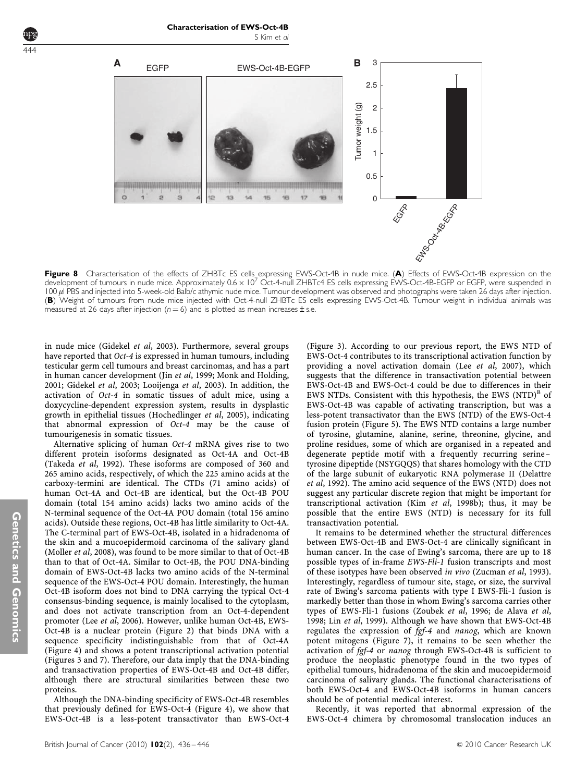<span id="page-8-0"></span>444



Characterisation of EWS-Oct-4B

Figure 8 Characterisation of the effects of ZHBTc ES cells expressing EWS-Oct-4B in nude mice. (A) Effects of EWS-Oct-4B expression on the development of tumours in nude mice. Approximately  $0.6 \times 10^7$  Oct-4-null ZHBTc4 ES cells expressing EWS-Oct-4B-EGFP or EGFP, were suspended in 100  $\mu$ l PBS and injected into 5-week-old Balb/c athymic nude mice. Tumour development was observed and photographs were taken 26 days after injection. (B) Weight of tumours from nude mice injected with Oct-4-null ZHBTc ES cells expressing EWS-Oct-4B. Tumour weight in individual animals was measured at 26 days after injection ( $n = 6$ ) and is plotted as mean increases  $\pm$  s.e.

in nude mice ([Gidekel](#page-9-0) et al, 2003). Furthermore, several groups have reported that *Oct-4* is expressed in human tumours, including testicular germ cell tumours and breast carcinomas, and has a part in human cancer development (Jin et al[, 1999](#page-9-0); [Monk and Holding,](#page-10-0) [2001;](#page-10-0) [Gidekel](#page-9-0) et al, 2003; [Looijenga](#page-9-0) et al, 2003). In addition, the activation of Oct-4 in somatic tissues of adult mice, using a doxycycline-dependent expression system, results in dysplastic growth in epithelial tissues [\(Hochedlinger](#page-9-0) et al, 2005), indicating that abnormal expression of Oct-4 may be the cause of tumourigenesis in somatic tissues.

Alternative splicing of human Oct-4 mRNA gives rise to two different protein isoforms designated as Oct-4A and Oct-4B ([Takeda](#page-10-0) et al, 1992). These isoforms are composed of 360 and 265 amino acids, respectively, of which the 225 amino acids at the carboxy-termini are identical. The CTDs (71 amino acids) of human Oct-4A and Oct-4B are identical, but the Oct-4B POU domain (total 154 amino acids) lacks two amino acids of the N-terminal sequence of the Oct-4A POU domain (total 156 amino acids). Outside these regions, Oct-4B has little similarity to Oct-4A. The C-terminal part of EWS-Oct-4B, isolated in a hidradenoma of the skin and a mucoepidermoid carcinoma of the salivary gland ([Moller](#page-10-0) et al, 2008), was found to be more similar to that of Oct-4B than to that of Oct-4A. Similar to Oct-4B, the POU DNA-binding domain of EWS-Oct-4B lacks two amino acids of the N-terminal sequence of the EWS-Oct-4 POU domain. Interestingly, the human Oct-4B isoform does not bind to DNA carrying the typical Oct-4 consensus-binding sequence, is mainly localised to the cytoplasm, and does not activate transcription from an Oct-4-dependent promoter (Lee et al[, 2006\)](#page-9-0). However, unlike human Oct-4B, EWS-Oct-4B is a nuclear protein [\(Figure 2\)](#page-3-0) that binds DNA with a sequence specificity indistinguishable from that of Oct-4A ([Figure 4\)](#page-5-0) and shows a potent transcriptional activation potential ([Figures 3 and 7\)](#page-4-0). Therefore, our data imply that the DNA-binding and transactivation properties of EWS-Oct-4B and Oct-4B differ, although there are structural similarities between these two proteins.

Although the DNA-binding specificity of EWS-Oct-4B resembles that previously defined for EWS-Oct-4 [\(Figure 4\)](#page-5-0), we show that EWS-Oct-4B is a less-potent transactivator than EWS-Oct-4 ([Figure 3\)](#page-4-0). According to our previous report, the EWS NTD of EWS-Oct-4 contributes to its transcriptional activation function by providing a novel activation domain (Lee et al[, 2007\)](#page-9-0), which suggests that the difference in transactivation potential between EWS-Oct-4B and EWS-Oct-4 could be due to differences in their EWS NTDs. Consistent with this hypothesis, the EWS  $(NTD)^B$  of EWS-Oct-4B was capable of activating transcription, but was a less-potent transactivator than the EWS (NTD) of the EWS-Oct-4 fusion protein ([Figure 5](#page-5-0)). The EWS NTD contains a large number of tyrosine, glutamine, alanine, serine, threonine, glycine, and proline residues, some of which are organised in a repeated and degenerate peptide motif with a frequently recurring serine – tyrosine dipeptide (NSYGQQS) that shares homology with the CTD of the large subunit of eukaryotic RNA polymerase II ([Delattre](#page-9-0) et al[, 1992\)](#page-9-0). The amino acid sequence of the EWS (NTD) does not suggest any particular discrete region that might be important for transcriptional activation (Kim et al[, 1998b\)](#page-9-0); thus, it may be possible that the entire EWS (NTD) is necessary for its full transactivation potential.

It remains to be determined whether the structural differences between EWS-Oct-4B and EWS-Oct-4 are clinically significant in human cancer. In the case of Ewing's sarcoma, there are up to 18 possible types of in-frame EWS-Fli-1 fusion transcripts and most of these isotypes have been observed in vivo ([Zucman](#page-10-0) et al, 1993). Interestingly, regardless of tumour site, stage, or size, the survival rate of Ewing's sarcoma patients with type I EWS-Fli-1 fusion is markedly better than those in whom Ewing's sarcoma carries other types of EWS-Fli-1 fusions [\(Zoubek](#page-10-0) et al, 1996; [de Alava](#page-9-0) et al, [1998;](#page-9-0) Lin et al[, 1999](#page-9-0)). Although we have shown that EWS-Oct-4B regulates the expression of  $\bar{f}gf-4$  and nanog, which are known potent mitogens [\(Figure 7\)](#page-7-0), it remains to be seen whether the activation of fgf-4 or nanog through EWS-Oct-4B is sufficient to produce the neoplastic phenotype found in the two types of epithelial tumours, hidradenoma of the skin and mucoepidermoid carcinoma of salivary glands. The functional characterisations of both EWS-Oct-4 and EWS-Oct-4B isoforms in human cancers should be of potential medical interest.

Recently, it was reported that abnormal expression of the EWS-Oct-4 chimera by chromosomal translocation induces an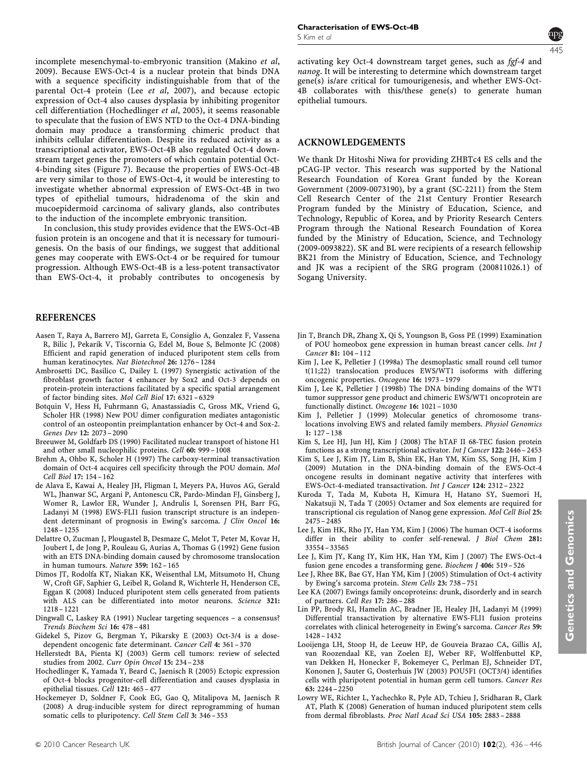<span id="page-9-0"></span>incomplete mesenchymal-to-embryonic transition [\(Makino](#page-10-0) et al, [2009](#page-10-0)). Because EWS-Oct-4 is a nuclear protein that binds DNA with a sequence specificity indistinguishable from that of the parental Oct-4 protein (Lee et al, 2007), and because ectopic expression of Oct-4 also causes dysplasia by inhibiting progenitor cell differentiation (Hochedlinger et al, 2005), it seems reasonable to speculate that the fusion of EWS NTD to the Oct-4 DNA-binding domain may produce a transforming chimeric product that inhibits cellular differentiation. Despite its reduced activity as a transcriptional activator, EWS-Oct-4B also regulated Oct-4 downstream target genes the promoters of which contain potential Oct-4-binding sites [\(Figure 7](#page-7-0)). Because the properties of EWS-Oct-4B are very similar to those of EWS-Oct-4, it would be interesting to investigate whether abnormal expression of EWS-Oct-4B in two types of epithelial tumours, hidradenoma of the skin and mucoepidermoid carcinoma of salivary glands, also contributes to the induction of the incomplete embryonic transition.

In conclusion, this study provides evidence that the EWS-Oct-4B fusion protein is an oncogene and that it is necessary for tumourigenesis. On the basis of our findings, we suggest that additional genes may cooperate with EWS-Oct-4 or be required for tumour progression. Although EWS-Oct-4B is a less-potent transactivator than EWS-Oct-4, it probably contributes to oncogenesis by

# REFERENCES

- Aasen T, Raya A, Barrero MJ, Garreta E, Consiglio A, Gonzalez F, Vassena R, Bilic J, Pekarik V, Tiscornia G, Edel M, Boue S, Belmonte JC (2008) Efficient and rapid generation of induced pluripotent stem cells from human keratinocytes. Nat Biotechnol 26: 1276 – 1284
- Ambrosetti DC, Basilico C, Dailey L (1997) Synergistic activation of the fibroblast growth factor 4 enhancer by Sox2 and Oct-3 depends on protein-protein interactions facilitated by a specific spatial arrangement of factor binding sites. Mol Cell Biol 17: 6321 – 6329
- Botquin V, Hess H, Fuhrmann G, Anastassiadis C, Gross MK, Vriend G, Scholer HR (1998) New POU dimer configuration mediates antagonistic control of an osteopontin preimplantation enhancer by Oct-4 and Sox-2. Genes Dev 12: 2073 – 2090
- Breeuwer M, Goldfarb DS (1990) Facilitated nuclear transport of histone H1 and other small nucleophilic proteins. Cell 60: 999 – 1008
- Brehm A, Ohbo K, Scholer H (1997) The carboxy-terminal transactivation domain of Oct-4 acquires cell specificity through the POU domain. Mol Cell Biol 17: 154 – 162
- de Alava E, Kawai A, Healey JH, Fligman I, Meyers PA, Huvos AG, Gerald WL, Jhanwar SC, Argani P, Antonescu CR, Pardo-Mindan FJ, Ginsberg J, Womer R, Lawlor ER, Wunder J, Andrulis I, Sorensen PH, Barr FG, Ladanyi M (1998) EWS-FLI1 fusion transcript structure is an independent determinant of prognosis in Ewing's sarcoma. J Clin Oncol 16: 1248 – 1255
- Delattre O, Zucman J, Plougastel B, Desmaze C, Melot T, Peter M, Kovar H, Joubert I, de Jong P, Rouleau G, Aurias A, Thomas G (1992) Gene fusion with an ETS DNA-binding domain caused by chromosome translocation in human tumours. Nature 359: 162 – 165
- Dimos JT, Rodolfa KT, Niakan KK, Weisenthal LM, Mitsumoto H, Chung W, Croft GF, Saphier G, Leibel R, Goland R, Wichterle H, Henderson CE, Eggan K (2008) Induced pluripotent stem cells generated from patients with ALS can be differentiated into motor neurons. Science 321: 1218 – 1221
- Dingwall C, Laskey RA (1991) Nuclear targeting sequences a consensus? Trends Biochem Sci 16: 478 – 481
- Gidekel S, Pizov G, Bergman Y, Pikarsky E (2003) Oct-3/4 is a dosedependent oncogenic fate determinant. Cancer Cell 4: 361 – 370
- Hellerstedt BA, Pienta KJ (2003) Germ cell tumors: review of selected studies from 2002. Curr Opin Oncol 15: 234 – 238
- Hochedlinger K, Yamada Y, Beard C, Jaenisch R (2005) Ectopic expression of Oct-4 blocks progenitor-cell differentiation and causes dysplasia in epithelial tissues. Cell 121: 465 – 477
- Hockemeyer D, Soldner F, Cook EG, Gao Q, Mitalipova M, Jaenisch R (2008) A drug-inducible system for direct reprogramming of human somatic cells to pluripotency. Cell Stem Cell 3: 346 – 353

445

activating key Oct-4 downstream target genes, such as fgf-4 and nanog. It will be interesting to determine which downstream target gene(s) is/are critical for tumourigenesis, and whether EWS-Oct-4B collaborates with this/these gene(s) to generate human epithelial tumours.

#### ACKNOWLEDGEMENTS

We thank Dr Hitoshi Niwa for providing ZHBTc4 ES cells and the pCAG-IP vector. This research was supported by the National Research Foundation of Korea Grant funded by the Korean Government (2009-0073190), by a grant (SC-2211) from the Stem Cell Research Center of the 21st Century Frontier Research Program funded by the Ministry of Education, Science, and Technology, Republic of Korea, and by Priority Research Centers Program through the National Research Foundation of Korea funded by the Ministry of Education, Science, and Technology (2009-0093822). SK and BL were recipients of a research fellowship BK21 from the Ministry of Education, Science, and Technology and JK was a recipient of the SRG program (200811026.1) of Sogang University.

- Jin T, Branch DR, Zhang X, Qi S, Youngson B, Goss PE (1999) Examination of POU homeobox gene expression in human breast cancer cells. Int J Cancer 81: 104 – 112
- Kim J, Lee K, Pelletier J (1998a) The desmoplastic small round cell tumor t(11;22) translocation produces EWS/WT1 isoforms with differing oncogenic properties. Oncogene 16: 1973 – 1979
- Kim J, Lee K, Pelletier J (1998b) The DNA binding domains of the WT1 tumor suppressor gene product and chimeric EWS/WT1 oncoprotein are functionally distinct. Oncogene 16: 1021 – 1030
- Kim J, Pelletier J (1999) Molecular genetics of chromosome translocations involving EWS and related family members. Physiol Genomics 1: 127 – 138
- Kim S, Lee HJ, Jun HJ, Kim J (2008) The hTAF II 68-TEC fusion protein functions as a strong transcriptional activator. Int J Cancer 122: 2446 – 2453
- Kim S, Lee J, Kim JY, Lim B, Shin EK, Han YM, Kim SS, Song JH, Kim J (2009) Mutation in the DNA-binding domain of the EWS-Oct-4 oncogene results in dominant negative activity that interferes with EWS-Oct-4-mediated transactivation. Int J Cancer 124: 2312 – 2322
- Kuroda T, Tada M, Kubota H, Kimura H, Hatano SY, Suemori H, Nakatsuji N, Tada T (2005) Octamer and Sox elements are required for transcriptional cis regulation of Nanog gene expression. Mol Cell Biol 25: 2475 – 2485
- Lee J, Kim HK, Rho JY, Han YM, Kim J (2006) The human OCT-4 isoforms differ in their ability to confer self-renewal. J Biol Chem 281: 33554 – 33565
- Lee J, Kim JY, Kang IY, Kim HK, Han YM, Kim J (2007) The EWS-Oct-4 fusion gene encodes a transforming gene. Biochem J 406: 519 – 526
- Lee J, Rhee BK, Bae GY, Han YM, Kim J (2005) Stimulation of Oct-4 activity by Ewing's sarcoma protein. Stem Cells 23: 738 – 751
- Lee KA (2007) Ewings family oncoproteins: drunk, disorderly and in search of partners. Cell Res 17: 286 – 288
- Lin PP, Brody RI, Hamelin AC, Bradner JE, Healey JH, Ladanyi M (1999) Differential transactivation by alternative EWS-FLI1 fusion proteins correlates with clinical heterogeneity in Ewing's sarcoma. Cancer Res 59: 1428 – 1432
- Looijenga LH, Stoop H, de Leeuw HP, de Gouveia Brazao CA, Gillis AJ, van Roozendaal KE, van Zoelen EJ, Weber RF, Wolffenbuttel KP, van Dekken H, Honecker F, Bokemeyer C, Perlman EJ, Schneider DT, Kononen J, Sauter G, Oosterhuis JW (2003) POU5F1 (OCT3/4) identifies cells with pluripotent potential in human germ cell tumors. Cancer Res 63: 2244 – 2250
- Lowry WE, Richter L, Yachechko R, Pyle AD, Tchieu J, Sridharan R, Clark AT, Plath K (2008) Generation of human induced pluripotent stem cells from dermal fibroblasts. Proc Natl Acad Sci USA 105: 2883 – 2888